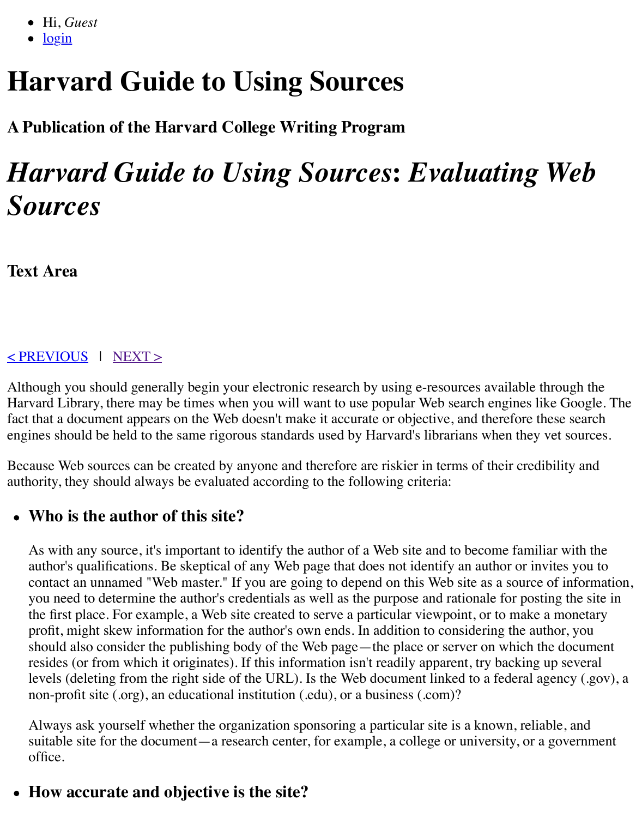# **A Publication of the Harvard College Writing Program**

# **Harvard Guide to Using Sources: Evaluating** *Sources*

**Text Area**

#### < PREVIOUS | NEXT >

Although you should generally begin your electronic research by using e-resources available the Harvard Library, there may be times when you will want to use popular Web search engines lil [fact th](http://isites.harvard.edu/icb/icb.do?keyword=k70847&pageid=icb.page346375&pageContentId=icb.pagecontent722568&state=maximize)at a document appears on the Web doesn't make it accurate or objective, and therefore the [engine](http://isites.harvard.edu/icb/icb.do?keyword=k70847&state=popup&topicid=icb.topic773508&view=view.do&viewParam_popupFromPageContentId=icb.pagecontent722568)s should be held to the same rigorous standards used by Harvard's librarians when they

[Because Web s](http://isites.harvard.edu/icb/icb.do?keyword=k70847&pageid=icb.page346374)our[ces can b](http://isites.harvard.edu/icb/icb.do?keyword=k70847&pageid=icb.page346376)e created by anyone and therefore are riskier in terms of their credi authority, they should always be evaluated according to the following criteria:

#### **Who is the author of this site?**

As with any source, it's important to identify the author of a Web site and to become famili author's qualifications. Be skeptical of any Web page that does not identify an author or inv contact an unnamed "Web master." If you are going to depend on this Web site as a source you need to determine the author's credentials as well as the purpose and rationale for post the first place. For example, a Web site created to serve a particular viewpoint, or to make profit, might skew information for the author's own ends. In addition to considering the aut should also consider the publishing body of the Web page—the place or server on which the resides (or from which it originates). If this information isn't readily apparent, try backing levels (deleting from the right side of the URL). Is the Web document linked to a federal agency (.gov), and  $\alpha$ non-profit site (.org), an educational institution (.edu), or a business (.com)?

Always ask yourself whether the organization sponsoring a particular site is a known, relia suitable site for the document—a research center, for example, a college or university, or a office.

# **How accurate and objective is the site?**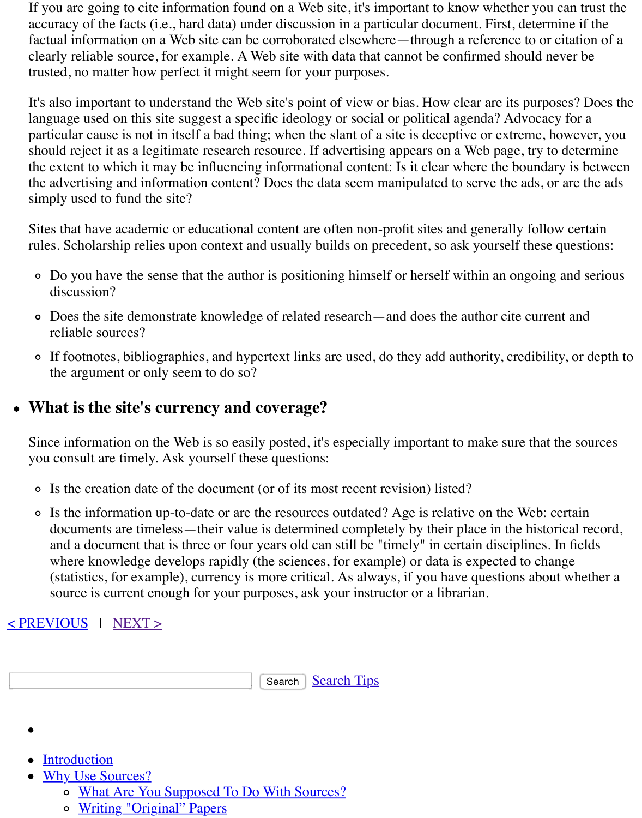language used on this site suggest a specific ideology or social or political agenda? Advoca particular cause is not in itself a bad thing; when the slant of a site is deceptive or extreme, should reject it as a legitimate research resource. If advertising appears on a Web page, try the extent to which it may be influencing informational content: Is it clear where the bound the advertising and information content? Does the data seem manipulated to serve the ads, simply used to fund the site?

Sites that have academic or educational content are often non-profit sites and generally foll rules. Scholarship relies upon context and usually builds on precedent, so ask yourself thes

- Do you have the sense that the author is positioning himself or herself within an ongoing discussion?
- o Does the site demonstrate knowledge of related research—and does the author cite current and reliable sources?
- If footnotes, bibliographies, and hypertext links are used, do they add authority, credibi the argument or only seem to do so?

# **What is the site's currency and coverage?**

Since information on the Web is so easily posted, it's especially important to make sure that you consult are timely. Ask yourself these questions:

- Is the creation date of the document (or of its most recent revision) listed?
- o Is the information up-to-date or are the resources outdated? Age is relative on the Web: documents are timeless—their value is determined completely by their place in the hist and a document that is three or four years old can still be "timely" in certain disciplines where knowledge develops rapidly (the sciences, for example) or data is expected to change of (statistics, for example), currency is more critical. As always, if you have questions about  $\alpha$ source is current enough for your purposes, ask your instructor or a librarian.

#### $\leq$  PREVIOUS | NEXT >

|                                                                   | <b>Search Tips</b><br>Search |
|-------------------------------------------------------------------|------------------------------|
|                                                                   |                              |
| • Introduction                                                    |                              |
| • Why Use Sources?<br>o What Are You Supposed To Do With Sources? |                              |

o Writing "Original" Papers